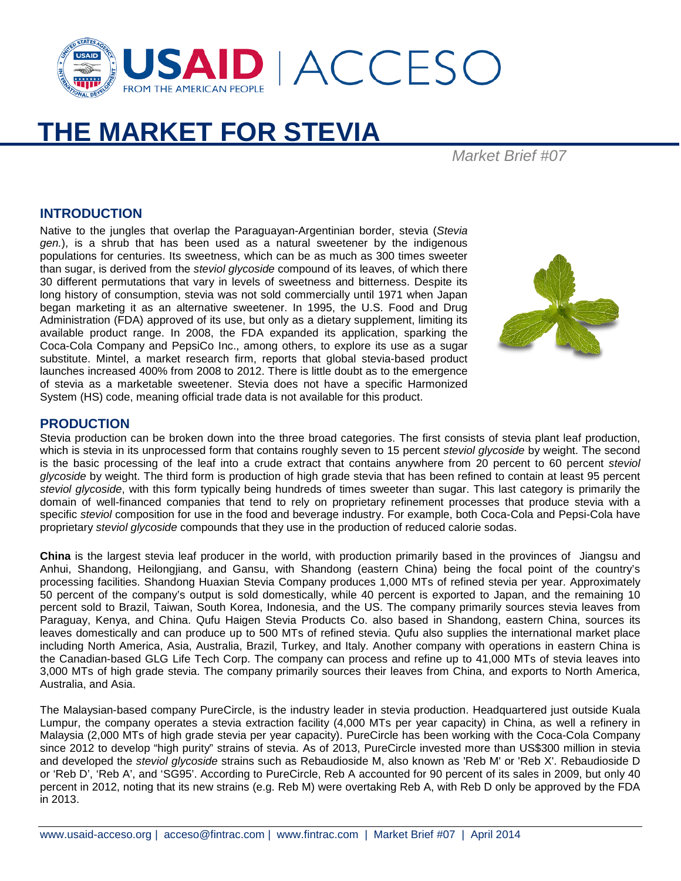

# **THE MARKET FOR STEVIA**

*Market Brief #07*

#### **INTRODUCTION**

Native to the jungles that overlap the Paraguayan-Argentinian border, stevia (*Stevia gen.*), is a shrub that has been used as a natural sweetener by the indigenous populations for centuries. Its sweetness, which can be as much as 300 times sweeter than sugar, is derived from the *steviol glycoside* compound of its leaves, of which there 30 different permutations that vary in levels of sweetness and bitterness. Despite its long history of consumption, stevia was not sold commercially until 1971 when Japan began marketing it as an alternative sweetener. In 1995, the U.S. Food and Drug Administration (FDA) approved of its use, but only as a dietary supplement, limiting its available product range. In 2008, the FDA expanded its application, sparking the Coca-Cola Company and PepsiCo Inc., among others, to explore its use as a sugar substitute. Mintel, a market research firm, reports that global stevia-based product launches increased 400% from 2008 to 2012. There is little doubt as to the emergence of stevia as a marketable sweetener. Stevia does not have a specific Harmonized System (HS) code, meaning official trade data is not available for this product.



#### **PRODUCTION**

Stevia production can be broken down into the three broad categories. The first consists of stevia plant leaf production, which is stevia in its unprocessed form that contains roughly seven to 15 percent *steviol glycoside* by weight. The second is the basic processing of the leaf into a crude extract that contains anywhere from 20 percent to 60 percent *steviol glycoside* by weight. The third form is production of high grade stevia that has been refined to contain at least 95 percent *steviol glycoside*, with this form typically being hundreds of times sweeter than sugar. This last category is primarily the domain of well-financed companies that tend to rely on proprietary refinement processes that produce stevia with a specific *steviol* composition for use in the food and beverage industry. For example, both Coca-Cola and Pepsi-Cola have proprietary *steviol glycoside* compounds that they use in the production of reduced calorie sodas.

**China** is the largest stevia leaf producer in the world, with production primarily based in the provinces of Jiangsu and Anhui, Shandong, Heilongjiang, and Gansu, with Shandong (eastern China) being the focal point of the country's processing facilities. Shandong Huaxian Stevia Company produces 1,000 MTs of refined stevia per year. Approximately 50 percent of the company's output is sold domestically, while 40 percent is exported to Japan, and the remaining 10 percent sold to Brazil, Taiwan, South Korea, Indonesia, and the US. The company primarily sources stevia leaves from Paraguay, Kenya, and China. Qufu Haigen Stevia Products Co. also based in Shandong, eastern China, sources its leaves domestically and can produce up to 500 MTs of refined stevia. Qufu also supplies the international market place including North America, Asia, Australia, Brazil, Turkey, and Italy. Another company with operations in eastern China is the Canadian-based GLG Life Tech Corp. The company can process and refine up to 41,000 MTs of stevia leaves into 3,000 MTs of high grade stevia. The company primarily sources their leaves from China, and exports to North America, Australia, and Asia.

The Malaysian-based company PureCircle, is the industry leader in stevia production. Headquartered just outside Kuala Lumpur, the company operates a stevia extraction facility (4,000 MTs per year capacity) in China, as well a refinery in Malaysia (2,000 MTs of high grade stevia per year capacity). PureCircle has been working with the Coca-Cola Company since 2012 to develop "high purity" strains of stevia. As of 2013, PureCircle invested more than US\$300 million in stevia and developed the *steviol glycoside* strains such as Rebaudioside M, also known as 'Reb M' or 'Reb X'. Rebaudioside D or 'Reb D', 'Reb A', and 'SG95'. According to PureCircle, Reb A accounted for 90 percent of its sales in 2009, but only 40 percent in 2012, noting that its new strains (e.g. Reb M) were overtaking Reb A, with Reb D only be approved by the FDA in 2013.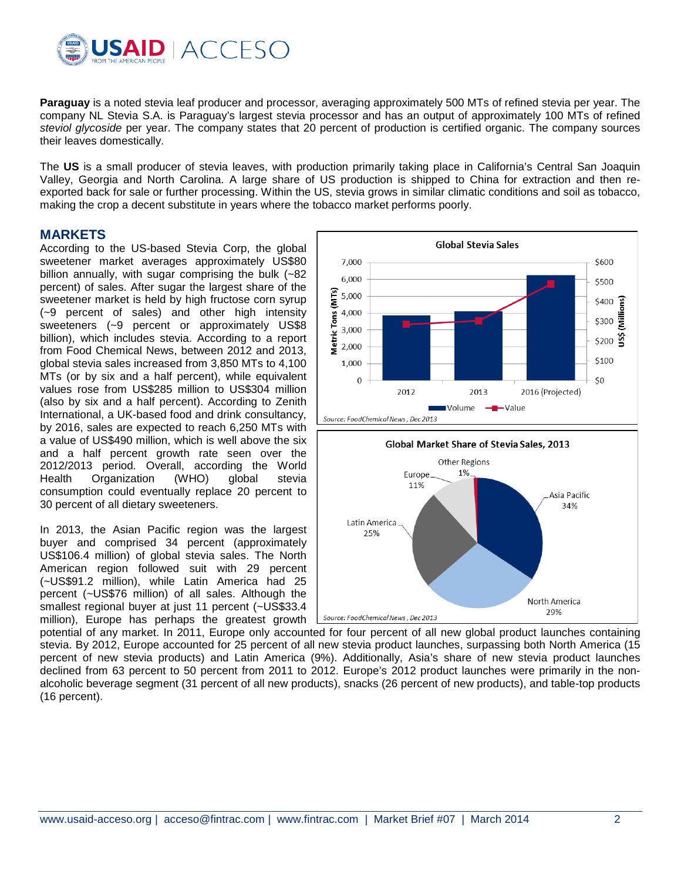

**Paraguay** is a noted stevia leaf producer and processor, averaging approximately 500 MTs of refined stevia per year. The company NL Stevia S.A. is Paraguay's largest stevia processor and has an output of approximately 100 MTs of refined *steviol glycoside* per year. The company states that 20 percent of production is certified organic. The company sources their leaves domestically.

The **US** is a small producer of stevia leaves, with production primarily taking place in California's Central San Joaquin Valley, Georgia and North Carolina. A large share of US production is shipped to China for extraction and then reexported back for sale or further processing. Within the US, stevia grows in similar climatic conditions and soil as tobacco, making the crop a decent substitute in years where the tobacco market performs poorly.

#### **MARKETS**

According to the US-based Stevia Corp, the global sweetener market averages approximately US\$80 billion annually, with sugar comprising the bulk (~82 percent) of sales. After sugar the largest share of the sweetener market is held by high fructose corn syrup (~9 percent of sales) and other high intensity sweeteners (~9 percent or approximately US\$8 billion), which includes stevia. According to a report from Food Chemical News, between 2012 and 2013, global stevia sales increased from 3,850 MTs to 4,100 MTs (or by six and a half percent), while equivalent values rose from US\$285 million to US\$304 million (also by six and a half percent). According to Zenith International, a UK-based food and drink consultancy, by 2016, sales are expected to reach 6,250 MTs with a value of US\$490 million, which is well above the six and a half percent growth rate seen over the 2012/2013 period. Overall, according the World Health Organization (WHO) global stevia consumption could eventually replace 20 percent to 30 percent of all dietary sweeteners.

In 2013, the Asian Pacific region was the largest buyer and comprised 34 percent (approximately US\$106.4 million) of global stevia sales. The North American region followed suit with 29 percent (~US\$91.2 million), while Latin America had 25 percent (~US\$76 million) of all sales. Although the smallest regional buyer at just 11 percent (~US\$33.4 million), Europe has perhaps the greatest growth



potential of any market. In 2011, Europe only accounted for four percent of all new global product launches containing stevia. By 2012, Europe accounted for 25 percent of all new stevia product launches, surpassing both North America (15 percent of new stevia products) and Latin America (9%). Additionally, Asia's share of new stevia product launches declined from 63 percent to 50 percent from 2011 to 2012. Europe's 2012 product launches were primarily in the nonalcoholic beverage segment (31 percent of all new products), snacks (26 percent of new products), and table-top products (16 percent).

Source: FoodChemical News, Dec 2013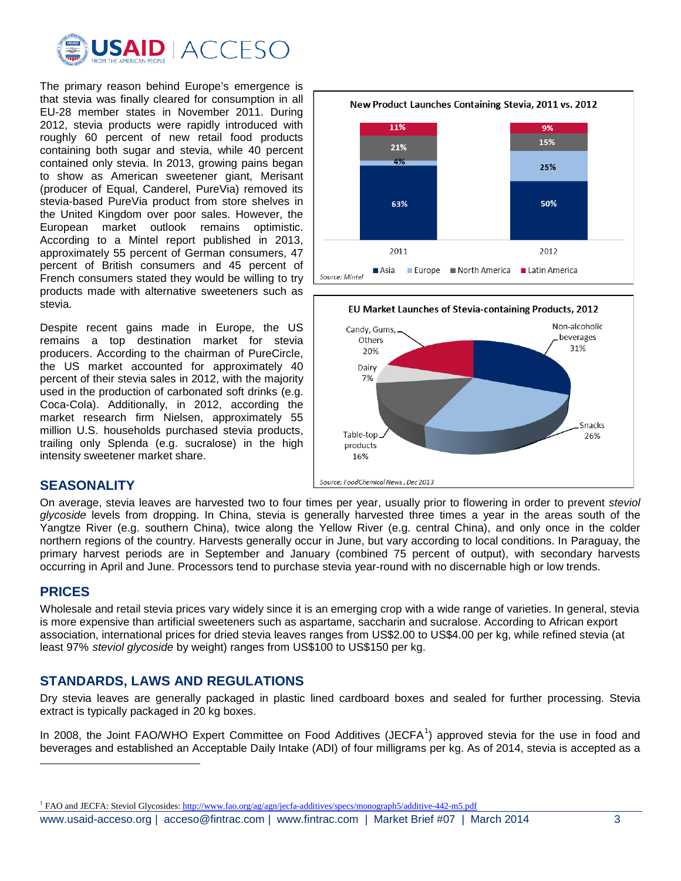

The primary reason behind Europe's emergence is that stevia was finally cleared for consumption in all EU-28 member states in November 2011. During 2012, stevia products were rapidly introduced with roughly 60 percent of new retail food products containing both sugar and stevia, while 40 percent contained only stevia. In 2013, growing pains began to show as American sweetener giant, Merisant (producer of Equal, Canderel, PureVia) removed its stevia-based PureVia product from store shelves in the United Kingdom over poor sales. However, the European market outlook remains optimistic. According to a Mintel report published in 2013, approximately 55 percent of German consumers, 47 percent of British consumers and 45 percent of French consumers stated they would be willing to try products made with alternative sweeteners such as stevia.

Despite recent gains made in Europe, the US remains a top destination market for stevia producers. According to the chairman of PureCircle, the US market accounted for approximately 40 percent of their stevia sales in 2012, with the majority used in the production of carbonated soft drinks (e.g. Coca-Cola). Additionally, in 2012, according the market research firm Nielsen, approximately 55 million U.S. households purchased stevia products, trailing only Splenda (e.g. sucralose) in the high intensity sweetener market share.

#### New Product Launches Containing Stevia, 2011 vs. 2012 11% 9% 15% 21% 4% 25% 63% 50% 2011 2012 **■ Asia** ■ Europe ■ North America ■ Latin America Source: Mintel



## **SEASONALITY**

On average, stevia leaves are harvested two to four times per year, usually prior to flowering in order to prevent *steviol glycoside* levels from dropping. In China, stevia is generally harvested three times a year in the areas south of the Yangtze River (e.g. southern China), twice along the Yellow River (e.g. central China), and only once in the colder northern regions of the country. Harvests generally occur in June, but vary according to local conditions. In Paraguay, the primary harvest periods are in September and January (combined 75 percent of output), with secondary harvests occurring in April and June. Processors tend to purchase stevia year-round with no discernable high or low trends.

## **PRICES**

 $\overline{a}$ 

Wholesale and retail stevia prices vary widely since it is an emerging crop with a wide range of varieties. In general, stevia is more expensive than artificial sweeteners such as aspartame, saccharin and sucralose. According to African export association, international prices for dried stevia leaves ranges from US\$2.00 to US\$4.00 per kg, while refined stevia (at least 97% *steviol glycoside* by weight) ranges from US\$100 to US\$150 per kg.

# **STANDARDS, LAWS AND REGULATIONS**

Dry stevia leaves are generally packaged in plastic lined cardboard boxes and sealed for further processing. Stevia extract is typically packaged in 20 kg boxes.

In 2008, the Joint FAO/WHO Expert Committee on Food Additives (JECFA<sup>[1](#page-2-0)</sup>) approved stevia for the use in food and beverages and established an Acceptable Daily Intake (ADI) of four milligrams per kg. As of 2014, stevia is accepted as a

<span id="page-2-0"></span><sup>&</sup>lt;sup>1</sup> FAO and JECFA: Steviol Glycosides[: http://www.fao.org/ag/agn/jecfa-additives/specs/monograph5/additive-442-m5.pdf](http://www.fao.org/ag/agn/jecfa-additives/specs/monograph5/additive-442-m5.pdf)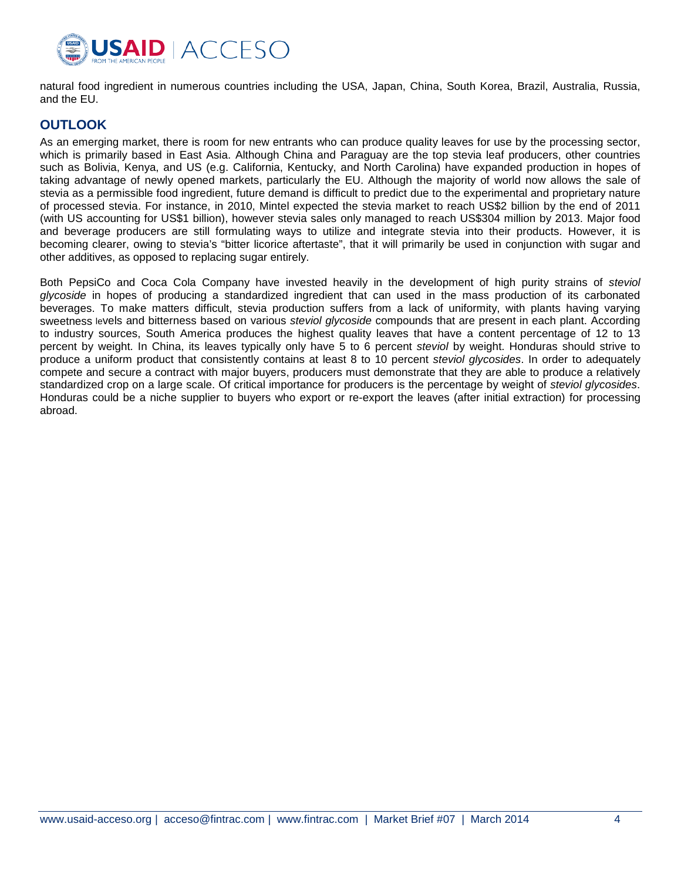

natural food ingredient in numerous countries including the USA, Japan, China, South Korea, Brazil, Australia, Russia, and the EU.

## **OUTLOOK**

As an emerging market, there is room for new entrants who can produce quality leaves for use by the processing sector, which is primarily based in East Asia. Although China and Paraguay are the top stevia leaf producers, other countries such as Bolivia, Kenya, and US (e.g. California, Kentucky, and North Carolina) have expanded production in hopes of taking advantage of newly opened markets, particularly the EU. Although the majority of world now allows the sale of stevia as a permissible food ingredient, future demand is difficult to predict due to the experimental and proprietary nature of processed stevia. For instance, in 2010, Mintel expected the stevia market to reach US\$2 billion by the end of 2011 (with US accounting for US\$1 billion), however stevia sales only managed to reach US\$304 million by 2013. Major food and beverage producers are still formulating ways to utilize and integrate stevia into their products. However, it is becoming clearer, owing to stevia's "bitter licorice aftertaste", that it will primarily be used in conjunction with sugar and other additives, as opposed to replacing sugar entirely.

Both PepsiCo and Coca Cola Company have invested heavily in the development of high purity strains of *steviol glycoside* in hopes of producing a standardized ingredient that can used in the mass production of its carbonated beverages. To make matters difficult, stevia production suffers from a lack of uniformity, with plants having varying sweetness levels and bitterness based on various *steviol glycoside* compounds that are present in each plant. According to industry sources, South America produces the highest quality leaves that have a content percentage of 12 to 13 percent by weight. In China, its leaves typically only have 5 to 6 percent *steviol* by weight. Honduras should strive to produce a uniform product that consistently contains at least 8 to 10 percent *steviol glycosides*. In order to adequately compete and secure a contract with major buyers, producers must demonstrate that they are able to produce a relatively standardized crop on a large scale. Of critical importance for producers is the percentage by weight of *steviol glycosides*. Honduras could be a niche supplier to buyers who export or re-export the leaves (after initial extraction) for processing abroad.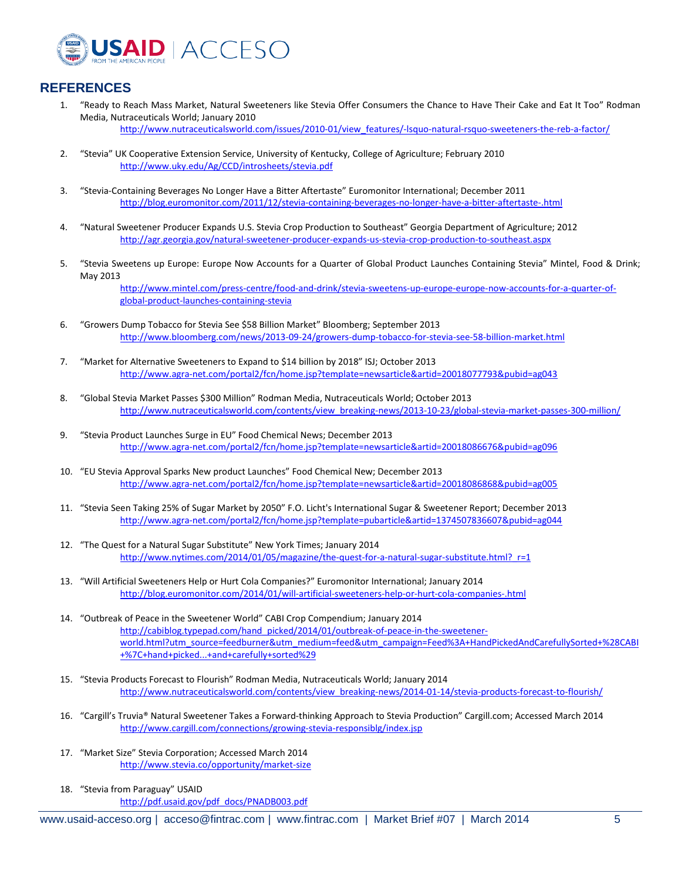

## **REFERENCES**

- 1. "Ready to Reach Mass Market, Natural Sweeteners like Stevia Offer Consumers the Chance to Have Their Cake and Eat It Too" Rodman Media, Nutraceuticals World; January 2010 [http://www.nutraceuticalsworld.com/issues/2010-01/view\\_features/-lsquo-natural-rsquo-sweeteners-the-reb-a-factor/](http://www.nutraceuticalsworld.com/issues/2010-01/view_features/-lsquo-natural-rsquo-sweeteners-the-reb-a-factor/)
- 2. "Stevia" UK Cooperative Extension Service, University of Kentucky, College of Agriculture; February 2010 <http://www.uky.edu/Ag/CCD/introsheets/stevia.pdf>
- 3. "Stevia-Containing Beverages No Longer Have a Bitter Aftertaste" Euromonitor International; December 2011 <http://blog.euromonitor.com/2011/12/stevia-containing-beverages-no-longer-have-a-bitter-aftertaste-.html>
- 4. "Natural Sweetener Producer Expands U.S. Stevia Crop Production to Southeast" Georgia Department of Agriculture; 2012 <http://agr.georgia.gov/natural-sweetener-producer-expands-us-stevia-crop-production-to-southeast.aspx>
- 5. "Stevia Sweetens up Europe: Europe Now Accounts for a Quarter of Global Product Launches Containing Stevia" Mintel, Food & Drink; May 2013

[http://www.mintel.com/press-centre/food-and-drink/stevia-sweetens-up-europe-europe-now-accounts-for-a-quarter-of](http://www.mintel.com/press-centre/food-and-drink/stevia-sweetens-up-europe-europe-now-accounts-for-a-quarter-of-global-product-launches-containing-stevia)[global-product-launches-containing-stevia](http://www.mintel.com/press-centre/food-and-drink/stevia-sweetens-up-europe-europe-now-accounts-for-a-quarter-of-global-product-launches-containing-stevia)

- 6. "Growers Dump Tobacco for Stevia See \$58 Billion Market" Bloomberg; September 2013 <http://www.bloomberg.com/news/2013-09-24/growers-dump-tobacco-for-stevia-see-58-billion-market.html>
- 7. "Market for Alternative Sweeteners to Expand to \$14 billion by 2018" ISJ; October 2013 <http://www.agra-net.com/portal2/fcn/home.jsp?template=newsarticle&artid=20018077793&pubid=ag043>
- 8. "Global Stevia Market Passes \$300 Million" Rodman Media, Nutraceuticals World; October 2013 [http://www.nutraceuticalsworld.com/contents/view\\_breaking-news/2013-10-23/global-stevia-market-passes-300-million/](http://www.nutraceuticalsworld.com/contents/view_breaking-news/2013-10-23/global-stevia-market-passes-300-million/)
- 9. "Stevia Product Launches Surge in EU" Food Chemical News; December 2013 <http://www.agra-net.com/portal2/fcn/home.jsp?template=newsarticle&artid=20018086676&pubid=ag096>
- 10. "EU Stevia Approval Sparks New product Launches" Food Chemical New; December 2013 <http://www.agra-net.com/portal2/fcn/home.jsp?template=newsarticle&artid=20018086868&pubid=ag005>
- 11. "Stevia Seen Taking 25% of Sugar Market by 2050" F.O. Licht's International Sugar & Sweetener Report; December 2013 <http://www.agra-net.com/portal2/fcn/home.jsp?template=pubarticle&artid=1374507836607&pubid=ag044>
- 12. "The Quest for a Natural Sugar Substitute" New York Times; January 2014 http://www.nytimes.com/2014/01/05/magazine/the-quest-for-a-natural-sugar-substitute.html? r=1
- 13. "Will Artificial Sweeteners Help or Hurt Cola Companies?" Euromonitor International; January 2014 <http://blog.euromonitor.com/2014/01/will-artificial-sweeteners-help-or-hurt-cola-companies-.html>
- 14. "Outbreak of Peace in the Sweetener World" CABI Crop Compendium; January 2014 [http://cabiblog.typepad.com/hand\\_picked/2014/01/outbreak-of-peace-in-the-sweetener](http://cabiblog.typepad.com/hand_picked/2014/01/outbreak-of-peace-in-the-sweetener-world.html?utm_source=feedburner&utm_medium=feed&utm_campaign=Feed%3A+HandPickedAndCarefullySorted+%28CABI+%7C+hand+picked...+and+carefully+sorted%29)[world.html?utm\\_source=feedburner&utm\\_medium=feed&utm\\_campaign=Feed%3A+HandPickedAndCarefullySorted+%28CABI](http://cabiblog.typepad.com/hand_picked/2014/01/outbreak-of-peace-in-the-sweetener-world.html?utm_source=feedburner&utm_medium=feed&utm_campaign=Feed%3A+HandPickedAndCarefullySorted+%28CABI+%7C+hand+picked...+and+carefully+sorted%29) [+%7C+hand+picked...+and+carefully+sorted%29](http://cabiblog.typepad.com/hand_picked/2014/01/outbreak-of-peace-in-the-sweetener-world.html?utm_source=feedburner&utm_medium=feed&utm_campaign=Feed%3A+HandPickedAndCarefullySorted+%28CABI+%7C+hand+picked...+and+carefully+sorted%29)
- 15. "Stevia Products Forecast to Flourish" Rodman Media, Nutraceuticals World; January 2014 [http://www.nutraceuticalsworld.com/contents/view\\_breaking-news/2014-01-14/stevia-products-forecast-to-flourish/](http://www.nutraceuticalsworld.com/contents/view_breaking-news/2014-01-14/stevia-products-forecast-to-flourish/)
- 16. "Cargill's Truvia® Natural Sweetener Takes a Forward-thinking Approach to Stevia Production" Cargill.com; Accessed March 2014 <http://www.cargill.com/connections/growing-stevia-responsiblg/index.jsp>
- 17. "Market Size" Stevia Corporation; Accessed March 2014 <http://www.stevia.co/opportunity/market-size>
- 18. "Stevia from Paraguay" USAID [http://pdf.usaid.gov/pdf\\_docs/PNADB003.pdf](http://pdf.usaid.gov/pdf_docs/PNADB003.pdf)